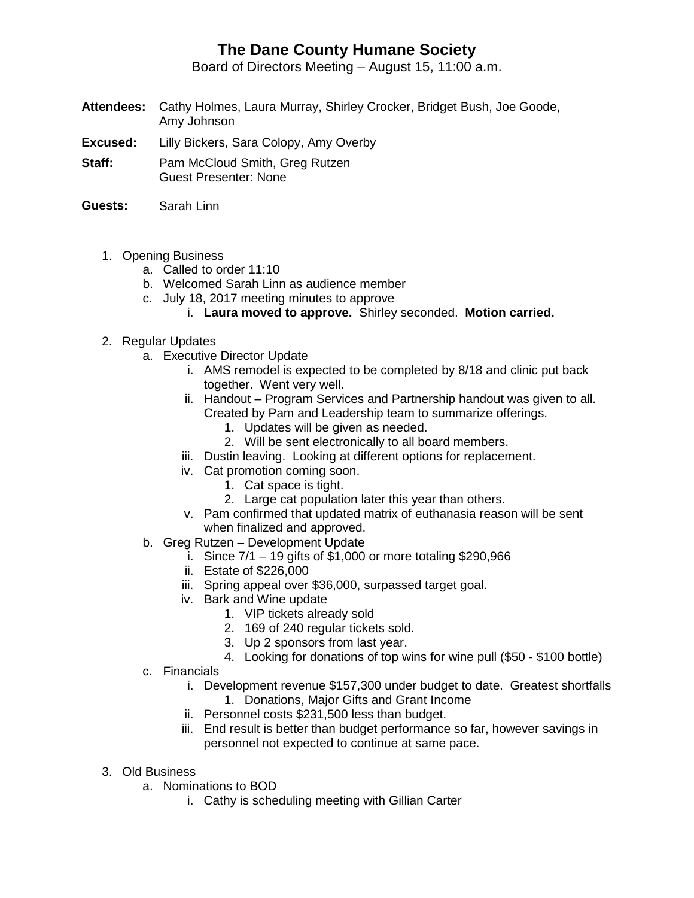## **The Dane County Humane Society**

Board of Directors Meeting – August 15, 11:00 a.m.

- **Attendees:** Cathy Holmes, Laura Murray, Shirley Crocker, Bridget Bush, Joe Goode, Amy Johnson
- **Excused:** Lilly Bickers, Sara Colopy, Amy Overby
- **Staff:** Pam McCloud Smith, Greg Rutzen Guest Presenter: None
- **Guests:** Sarah Linn
	- 1. Opening Business
		- a. Called to order 11:10
		- b. Welcomed Sarah Linn as audience member
		- c. July 18, 2017 meeting minutes to approve
			- i. **Laura moved to approve.** Shirley seconded. **Motion carried.**
	- 2. Regular Updates
		- a. Executive Director Update
			- i. AMS remodel is expected to be completed by 8/18 and clinic put back together. Went very well.
			- ii. Handout Program Services and Partnership handout was given to all. Created by Pam and Leadership team to summarize offerings.
				- 1. Updates will be given as needed.
				- 2. Will be sent electronically to all board members.
			- iii. Dustin leaving. Looking at different options for replacement.
			- iv. Cat promotion coming soon.
				- 1. Cat space is tight.
				- 2. Large cat population later this year than others.
			- v. Pam confirmed that updated matrix of euthanasia reason will be sent when finalized and approved.
		- b. Greg Rutzen Development Update
			- i. Since  $7/1 19$  gifts of \$1,000 or more totaling \$290,966
			- ii. Estate of \$226,000
			- iii. Spring appeal over \$36,000, surpassed target goal.
			- iv. Bark and Wine update
				- 1. VIP tickets already sold
				- 2. 169 of 240 regular tickets sold.
				- 3. Up 2 sponsors from last year.
				- 4. Looking for donations of top wins for wine pull (\$50 \$100 bottle)
		- c. Financials
			- i. Development revenue \$157,300 under budget to date. Greatest shortfalls
				- 1. Donations, Major Gifts and Grant Income
			- ii. Personnel costs \$231,500 less than budget.
			- iii. End result is better than budget performance so far, however savings in personnel not expected to continue at same pace.
	- 3. Old Business
		- a. Nominations to BOD
			- i. Cathy is scheduling meeting with Gillian Carter